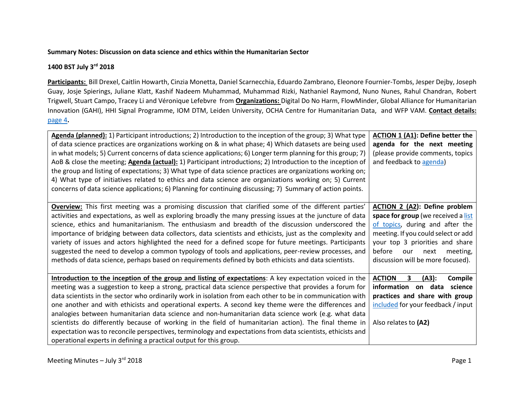#### **Summary Notes: Discussion on data science and ethics within the Humanitarian Sector**

## **1400 BST July 3rd 2018**

**Participants:** Bill Drexel, Caitlin Howarth, Cinzia Monetta, Daniel Scarnecchia, Eduardo Zambrano, Eleonore Fournier-Tombs, Jesper Dejby, Joseph Guay, Josje Spierings, Juliane Klatt, Kashif Nadeem Muhammad, Muhammad Rizki, Nathaniel Raymond, Nuno Nunes, Rahul Chandran, Robert Trigwell, Stuart Campo, Tracey Li and Véronique Lefebvre from **Organizations:** Digital Do No Harm, FlowMinder, Global Alliance for Humanitarian Innovation (GAHI), HHI Signal Programme, IOM DTM, Leiden University, OCHA Centre for Humanitarian Data, and WFP VAM. **Contact details:** [page 4](#page-3-0)**.**

| Agenda (planned): 1) Participant introductions; 2) Introduction to the inception of the group; 3) What type<br>of data science practices are organizations working on & in what phase; 4) Which datasets are being used                                                                                                                                                                                                                                                                                                                                                                                                                                                                                                                                                                                                                     | ACTION 1 (A1): Define better the<br>agenda for the next meeting                                                                                                                                                            |
|---------------------------------------------------------------------------------------------------------------------------------------------------------------------------------------------------------------------------------------------------------------------------------------------------------------------------------------------------------------------------------------------------------------------------------------------------------------------------------------------------------------------------------------------------------------------------------------------------------------------------------------------------------------------------------------------------------------------------------------------------------------------------------------------------------------------------------------------|----------------------------------------------------------------------------------------------------------------------------------------------------------------------------------------------------------------------------|
| in what models; 5) Current concerns of data science applications; 6) Longer term planning for this group; 7)<br>AoB & close the meeting; <b>Agenda (actual):</b> 1) Participant introductions; 2) Introduction to the inception of<br>the group and listing of expectations; 3) What type of data science practices are organizations working on;<br>4) What type of initiatives related to ethics and data science are organizations working on; 5) Current                                                                                                                                                                                                                                                                                                                                                                                | (please provide comments, topics<br>and feedback to agenda)                                                                                                                                                                |
| concerns of data science applications; 6) Planning for continuing discussing; 7) Summary of action points.<br><b>Overview:</b> This first meeting was a promising discussion that clarified some of the different parties'                                                                                                                                                                                                                                                                                                                                                                                                                                                                                                                                                                                                                  | <b>ACTION 2 (A2): Define problem</b>                                                                                                                                                                                       |
| activities and expectations, as well as exploring broadly the many pressing issues at the juncture of data<br>science, ethics and humanitarianism. The enthusiasm and breadth of the discussion underscored the<br>importance of bridging between data collectors, data scientists and ethicists, just as the complexity and<br>variety of issues and actors highlighted the need for a defined scope for future meetings. Participants<br>suggested the need to develop a common typology of tools and applications, peer-review processes, and<br>methods of data science, perhaps based on requirements defined by both ethicists and data scientists.                                                                                                                                                                                   | space for group (we received a list<br>of topics, during and after the<br>meeting. If you could select or add<br>your top 3 priorities and share<br>before<br>meeting,<br>our<br>next<br>discussion will be more focused). |
| Introduction to the inception of the group and listing of expectations: A key expectation voiced in the<br>meeting was a suggestion to keep a strong, practical data science perspective that provides a forum for<br>data scientists in the sector who ordinarily work in isolation from each other to be in communication with<br>one another and with ethicists and operational experts. A second key theme were the differences and<br>analogies between humanitarian data science and non-humanitarian data science work (e.g. what data<br>scientists do differently because of working in the field of humanitarian action). The final theme in<br>expectation was to reconcile perspectives, terminology and expectations from data scientists, ethicists and<br>operational experts in defining a practical output for this group. | $\mathbf{3}$<br><b>ACTION</b><br>(A3):<br>Compile<br>information on data science<br>practices and share with group<br>included for your feedback / input<br>Also relates to (A2)                                           |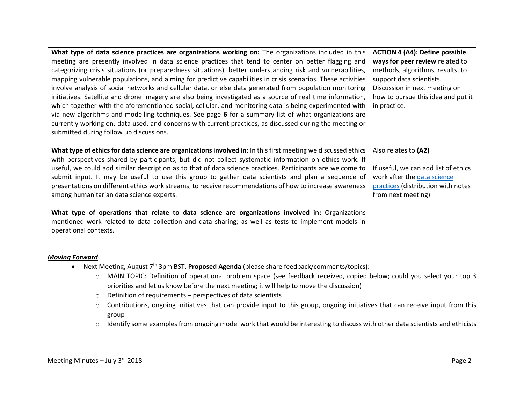| What type of data science practices are organizations working on: The organizations included in this          | <b>ACTION 4 (A4): Define possible</b> |
|---------------------------------------------------------------------------------------------------------------|---------------------------------------|
| meeting are presently involved in data science practices that tend to center on better flagging and           | ways for peer review related to       |
| categorizing crisis situations (or preparedness situations), better understanding risk and vulnerabilities,   | methods, algorithms, results, to      |
| mapping vulnerable populations, and aiming for predictive capabilities in crisis scenarios. These activities  | support data scientists.              |
| involve analysis of social networks and cellular data, or else data generated from population monitoring      | Discussion in next meeting on         |
| initiatives. Satellite and drone imagery are also being investigated as a source of real time information,    | how to pursue this idea and put it    |
| which together with the aforementioned social, cellular, and monitoring data is being experimented with       | in practice.                          |
| via new algorithms and modelling techniques. See page 6 for a summary list of what organizations are          |                                       |
| currently working on, data used, and concerns with current practices, as discussed during the meeting or      |                                       |
| submitted during follow up discussions.                                                                       |                                       |
|                                                                                                               |                                       |
|                                                                                                               |                                       |
| What type of ethics for data science are organizations involved in: In this first meeting we discussed ethics | Also relates to (A2)                  |
| with perspectives shared by participants, but did not collect systematic information on ethics work. If       |                                       |
| useful, we could add similar description as to that of data science practices. Participants are welcome to    | If useful, we can add list of ethics  |
| submit input. It may be useful to use this group to gather data scientists and plan a sequence of             | work after the data science           |
| presentations on different ethics work streams, to receive recommendations of how to increase awareness       | practices (distribution with notes    |
| among humanitarian data science experts.                                                                      | from next meeting)                    |
|                                                                                                               |                                       |
| What type of operations that relate to data science are organizations involved in: Organizations              |                                       |
| mentioned work related to data collection and data sharing; as well as tests to implement models in           |                                       |
| operational contexts.                                                                                         |                                       |

#### *Moving Forward*

- <span id="page-1-0"></span> Next Meeting, August 7th 3pm BST. **Proposed Agenda** (please share feedback/comments/topics):
	- o MAIN TOPIC: Definition of operational problem space (see feedback received, copied below; could you select your top 3 priorities and let us know before the next meeting; it will help to move the discussion)
	- o Definition of requirements perspectives of data scientists
	- o Contributions, ongoing initiatives that can provide input to this group, ongoing initiatives that can receive input from this group
	- o Identify some examples from ongoing model work that would be interesting to discuss with other data scientists and ethicists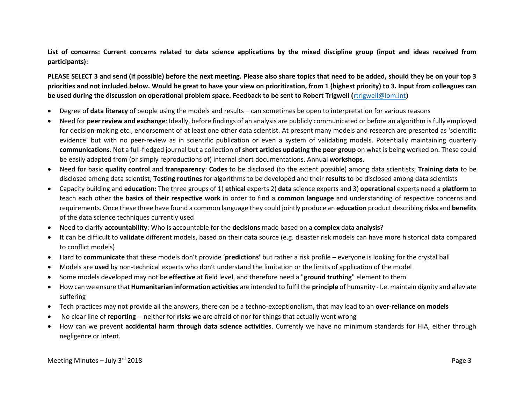<span id="page-2-0"></span>**List of concerns: Current concerns related to data science applications by the mixed discipline group (input and ideas received from participants):**

**PLEASE SELECT 3 and send (if possible) before the next meeting. Please also share topics that need to be added, should they be on your top 3 priorities and not included below. Would be great to have your view on prioritization, from 1 (highest priority) to 3. Input from colleagues can be used during the discussion on operational problem space. Feedback to be sent to Robert Trigwell (**[rtrigwell@iom.int](mailto:rtrigwell@iom.int)**)** 

- Degree of **data literacy** of people using the models and results can sometimes be open to interpretation for various reasons
- Need for **peer review and exchange**: Ideally, before findings of an analysis are publicly communicated or before an algorithm is fully employed for decision-making etc., endorsement of at least one other data scientist. At present many models and research are presented as 'scientific evidence' but with no peer-review as in scientific publication or even a system of validating models. Potentially maintaining quarterly **communications**. Not a full-fledged journal but a collection of **short articles updating the peer group** on what is being worked on. These could be easily adapted from (or simply reproductions of) internal short documentations. Annual **workshops.**
- Need for basic **quality control** and **transparency**: **Codes** to be disclosed (to the extent possible) among data scientists; **Training data** to be disclosed among data scientist; **Testing routines** for algorithms to be developed and their **results** to be disclosed among data scientists
- Capacity building and **education:** The three groups of 1) **ethical** experts 2) **data** science experts and 3) **operational** experts need a **platform** to teach each other the **basics of their respective work** in order to find a **common language** and understanding of respective concerns and requirements. Once these three have found a common language they could jointly produce an **education** product describing **risks** and **benefits** of the data science techniques currently used
- Need to clarify **accountability**: Who is accountable for the **decisions** made based on a **complex** data **analysis**?
- It can be difficult to **validate** different models, based on their data source (e.g. disaster risk models can have more historical data compared to conflict models)
- Hard to **communicate** that these models don't provide '**predictions'** but rather a risk profile everyone is looking for the crystal ball
- Models are **used** by non-technical experts who don't understand the limitation or the limits of application of the model
- Some models developed may not be **effective** at field level, and therefore need a "**ground truthing**" element to them
- How can we ensure that **Humanitarian information activities** are intended to fulfil the **principle** of humanity I.e. maintain dignity and alleviate suffering
- Tech practices may not provide all the answers, there can be a techno-exceptionalism, that may lead to an **over-reliance on models**
- No clear line of **reporting** -- neither for **risks** we are afraid of nor for things that actually went wrong
- How can we prevent **accidental harm through data science activities**. Currently we have no minimum standards for HIA, either through negligence or intent.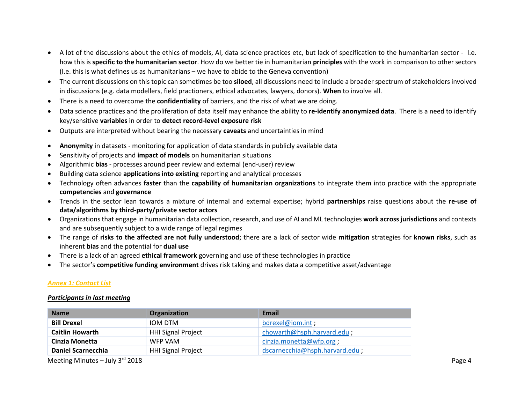- A lot of the discussions about the ethics of models, AI, data science practices etc, but lack of specification to the humanitarian sector I.e. how this is **specific to the humanitarian sector**. How do we better tie in humanitarian **principles** with the work in comparison to other sectors (I.e. this is what defines us as humanitarians – we have to abide to the Geneva convention)
- The current discussions on this topic can sometimes be too **siloed**, all discussions need to include a broader spectrum of stakeholders involved in discussions (e.g. data modellers, field practioners, ethical advocates, lawyers, donors). **When** to involve all.
- There is a need to overcome the **confidentiality** of barriers, and the risk of what we are doing.
- Data science practices and the proliferation of data itself may enhance the ability to **re-identify anonymized data**. There is a need to identify key/sensitive **variables** in order to **detect record-level exposure risk**
- Outputs are interpreted without bearing the necessary **caveats** and uncertainties in mind
- **Anonymity** in datasets monitoring for application of data standards in publicly available data
- Sensitivity of projects and **impact of models** on humanitarian situations
- Algorithmic **bias** processes around peer review and external (end-user) review
- Building data science **applications into existing** reporting and analytical processes
- Technology often advances **faster** than the **capability of humanitarian organizations** to integrate them into practice with the appropriate **competencies** and **governance**
- Trends in the sector lean towards a mixture of internal and external expertise; hybrid **partnerships** raise questions about the **re-use of data/algorithms by third-party/private sector actors**
- Organizations that engage in humanitarian data collection, research, and use of AI and ML technologies **work across jurisdictions** and contexts and are subsequently subject to a wide range of legal regimes
- The range of **risks to the affected are not fully understood**; there are a lack of sector wide **mitigation** strategies for **known risks**, such as inherent **bias** and the potential for **dual use**
- There is a lack of an agreed **ethical framework** governing and use of these technologies in practice
- The sector's **competitive funding environment** drives risk taking and makes data a competitive asset/advantage

#### <span id="page-3-0"></span>*Annex 1: Contact List*

#### *Participants in last meeting*

| <b>Name</b>               | <b>Organization</b>       | Email                          |
|---------------------------|---------------------------|--------------------------------|
| <b>Bill Drexel</b>        | IOM DTM                   | bdrexel@iom.int:               |
| <b>Caitlin Howarth</b>    | <b>HHI Signal Project</b> | chowarth@hsph.harvard.edu;     |
| Cinzia Monetta            | WFP VAM                   | cinzia.monetta@wfp.org;        |
| <b>Daniel Scarnecchia</b> | <b>HHI Signal Project</b> | dscarnecchia@hsph.harvard.edu; |

Meeting Minutes – July 3<sup>rd</sup> 2018 **Page 4**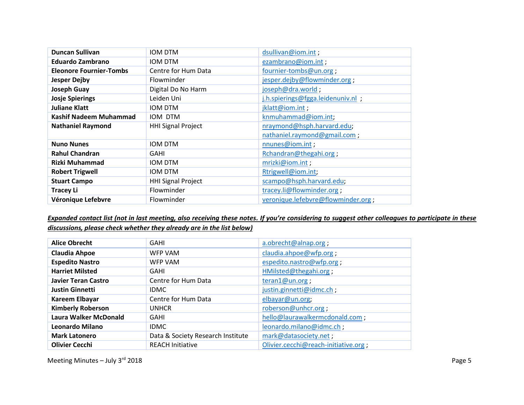| <b>Duncan Sullivan</b>         | <b>IOM DTM</b>            | dsullivan@iom.int;                 |
|--------------------------------|---------------------------|------------------------------------|
| <b>Eduardo Zambrano</b>        | IOM DTM                   | ezambrano@iom.int;                 |
| <b>Eleonore Fournier-Tombs</b> | Centre for Hum Data       | fournier-tombs@un.org;             |
| <b>Jesper Dejby</b>            | Flowminder                | jesper.dejby@flowminder.org;       |
| <b>Joseph Guay</b>             | Digital Do No Harm        | joseph@dra.world;                  |
| <b>Josje Spierings</b>         | Leiden Uni                | j.h.spierings@fgga.leidenuniv.nl ; |
| <b>Juliane Klatt</b>           | IOM DTM                   | jklatt@iom.int;                    |
| Kashif Nadeem Muhammad         | IOM DTM                   | knmuhammad@iom.int;                |
| <b>Nathaniel Raymond</b>       | <b>HHI Signal Project</b> | nraymond@hsph.harvard.edu;         |
|                                |                           | nathaniel.raymond@gmail.com;       |
| <b>Nuno Nunes</b>              | <b>IOM DTM</b>            | nnunes@iom.int;                    |
| <b>Rahul Chandran</b>          | GAHI                      | Rchandran@thegahi.org;             |
| Rizki Muhammad                 | <b>IOM DTM</b>            | mrizki@iom.int;                    |
| <b>Robert Trigwell</b>         | <b>IOM DTM</b>            | Rtrigwell@iom.int;                 |
| <b>Stuart Campo</b>            | <b>HHI Signal Project</b> | scampo@hsph.harvard.edu;           |
| <b>Tracey Li</b>               | Flowminder                | tracey.li@flowminder.org;          |
| Véronique Lefebvre             | Flowminder                | veronique.lefebvre@flowminder.org; |

# *Expanded contact list (not in last meeting, also receiving these notes. If you're considering to suggest other colleagues to participate in these discussions, please check whether they already are in the list below)*

| <b>Alice Obrecht</b>         | <b>GAHI</b>                       | a.obrecht@alnap.org;                 |
|------------------------------|-----------------------------------|--------------------------------------|
| <b>Claudia Ahpoe</b>         | <b>WFP VAM</b>                    | claudia.ahpoe@wfp.org;               |
| <b>Espedito Nastro</b>       | <b>WFP VAM</b>                    | espedito.nastro@wfp.org;             |
| <b>Harriet Milsted</b>       | <b>GAHI</b>                       | HMilsted@thegahi.org;                |
| <b>Javier Teran Castro</b>   | Centre for Hum Data               | teran1@un.org;                       |
| <b>Justin Ginnetti</b>       | <b>IDMC</b>                       | justin.ginnetti@idmc.ch;             |
| Kareem Elbayar               | Centre for Hum Data               | elbayar@un.org;                      |
| <b>Kimberly Roberson</b>     | <b>UNHCR</b>                      | roberson@unhcr.org;                  |
| <b>Laura Walker McDonald</b> | <b>GAHI</b>                       | hello@laurawalkermcdonald.com;       |
| <b>Leonardo Milano</b>       | <b>IDMC</b>                       | leonardo.milano@idmc.ch;             |
| <b>Mark Latonero</b>         | Data & Society Research Institute | mark@datasociety.net;                |
| <b>Olivier Cecchi</b>        | <b>REACH Initiative</b>           | Olivier.cecchi@reach-initiative.org; |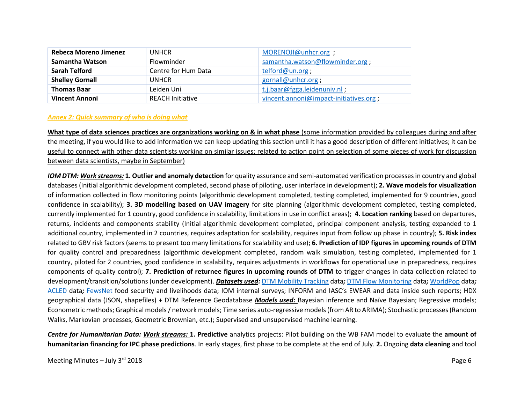| <b>Rebeca Moreno Jimenez</b> | <b>UNHCR</b>            | MORENOJI@unhcr.org ;                   |
|------------------------------|-------------------------|----------------------------------------|
| Samantha Watson              | Flowminder              | samantha.watson@flowminder.org;        |
| Sarah Telford                | Centre for Hum Data     | telford@un.org;                        |
| <b>Shelley Gornall</b>       | <b>UNHCR</b>            | gornall@unhcr.org;                     |
| <b>Thomas Baar</b>           | Leiden Uni              | t.j.baar@fgga.leidenuniv.nl;           |
| <b>Vincent Annoni</b>        | <b>REACH Initiative</b> | vincent.annoni@impact-initiatives.org; |

### <span id="page-5-0"></span>*Annex 2: Quick summary of who is doing what*

**What type of data sciences practices are organizations working on & in what phase** (some information provided by colleagues during and after the meeting, if you would like to add information we can keep updating this section until it has a good description of different initiatives; it can be useful to connect with other data scientists working on similar issues; related to action point on selection of some pieces of work for discussion between data scientists, maybe in September)

*IOM DTM: Work streams:* **1. Outlier and anomaly detection** for quality assurance and semi-automated verification processes in country and global databases (Initial algorithmic development completed, second phase of piloting, user interface in development); **2. Wave models for visualization**  of information collected in flow monitoring points (algorithmic development completed, testing completed, implemented for 9 countries, good confidence in scalability); **3. 3D modelling based on UAV imagery** for site planning (algorithmic development completed, testing completed, currently implemented for 1 country, good confidence in scalability, limitations in use in conflict areas); **4. Location ranking** based on departures, returns, incidents and components stability (Initial algorithmic development completed, principal component analysis, testing expanded to 1 additional country, implemented in 2 countries, requires adaptation for scalability, requires input from follow up phase in country); **5. Risk index** related to GBV risk factors (seems to present too many limitations for scalability and use); **6. Prediction of IDP figures in upcoming rounds of DTM**  for quality control and preparedness (algorithmic development completed, random walk simulation, testing completed, implemented for 1 country, piloted for 2 countries, good confidence in scalability, requires adjustments in workflows for operational use in preparedness, requires components of quality control); **7. Prediction of returnee figures in upcoming rounds of DTM** to trigger changes in data collection related to development/transition/solutions (under development). *Datasets used:* [DTM Mobility Tracking](https://displacement.iom.int/) data*;* [DTM Flow Monitoring](https://flow.iom.int/europe?type=arrivals) data*;* [WorldPop](http://maps.worldpop.org.uk/#/map/layers/global-1km) data*;*  [ACLED](https://www.acleddata.com/) data*;* [FewsNet](http://fews.net/) food security and livelihoods data; IOM internal surveys; INFORM and IASC's EWEAR and data inside such reports; HDX geographical data (JSON, shapefiles) + DTM Reference Geodatabase *Models used:* Bayesian inference and Naïve Bayesian; Regressive models; Econometric methods; Graphical models / network models; Time series auto-regressive models (from AR to ARIMA); Stochastic processes (Random Walks, Markovian processes, Geometric Brownian, etc.); Supervised and unsupervised machine learning.

*Centre for Humanitarian Data: Work streams:* **1. Predictive** analytics projects: Pilot building on the WB FAM model to evaluate the **amount of humanitarian financing for IPC phase predictions**. In early stages, first phase to be complete at the end of July. **2.** Ongoing **data cleaning** and tool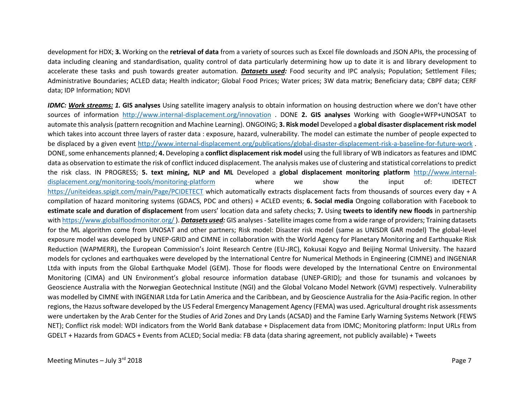development for HDX; **3.** Working on the **retrieval of data** from a variety of sources such as Excel file downloads and JSON APIs, the processing of data including cleaning and standardisation, quality control of data particularly determining how up to date it is and library development to accelerate these tasks and push towards greater automation. *Datasets used:* Food security and IPC analysis; Population; Settlement Files; Administrative Boundaries; ACLED data; Health indicator; Global Food Prices; Water prices; 3W data matrix; Beneficiary data; CBPF data; CERF data; IDP Information; NDVI

*IDMC: Work streams: 1.* **GIS analyses** Using satellite imagery analysis to obtain information on housing destruction where we don't have other sources of information <http://www.internal-displacement.org/innovation> . DONE **2. GIS analyses** Working with Google+WFP+UNOSAT to automate this analysis (pattern recognition and Machine Learning). ONGOING; **3. Risk model** Developed a **global disaster displacement risk model**  which takes into account three layers of raster data : exposure, hazard, vulnerability. The model can estimate the number of people expected to be displaced by a given event<http://www.internal-displacement.org/publications/global-disaster-displacement-risk-a-baseline-for-future-work> . DONE, some enhancements planned; **4.** Developing a **conflict displacement risk model** using the full library of WB indicators as features and IDMC data as observation to estimate the risk of conflict induced displacement. The analysis makes use of clustering and statistical correlations to predict the risk class. IN PROGRESS; **5. text mining, NLP and ML** Developed a **global displacement monitoring platform** [http://www.internal](http://www.internal-displacement.org/monitoring-tools/monitoring-platform)[displacement.org/monitoring-tools/monitoring-platform](http://www.internal-displacement.org/monitoring-tools/monitoring-platform) where we show the input of: IDETECT <https://uniteideas.spigit.com/main/Page/PCIDETECT> which automatically extracts displacement facts from thousands of sources every day + A compilation of hazard monitoring systems (GDACS, PDC and others) + ACLED events; **6. Social media** Ongoing collaboration with Facebook to **estimate scale and duration of displacement** from users' location data and safety checks; **7.** Using **tweets to identify new floods** in partnership with<https://www.globalfloodmonitor.org/> ). *Datasets used:* GIS analyses - Satellite images come from a wide range of providers; Training datasets for the ML algorithm come from UNOSAT and other partners; Risk model: Disaster risk model (same as UNISDR GAR model) The global-level exposure model was developed by UNEP-GRID and CIMNE in collaboration with the World Agency for Planetary Monitoring and Earthquake Risk Reduction (WAPMERR), the European Commission's Joint Research Centre (EU-JRC), Kokusai Kogyo and Beijing Normal University. The hazard models for cyclones and earthquakes were developed by the International Centre for Numerical Methods in Engineering (CIMNE) and INGENIAR Ltda with inputs from the Global Earthquake Model (GEM). Those for floods were developed by the International Centre on Environmental Monitoring (CIMA) and UN Environment's global resource information database (UNEP-GRID); and those for tsunamis and volcanoes by Geoscience Australia with the Norwegian Geotechnical Institute (NGI) and the Global Volcano Model Network (GVM) respectively. Vulnerability was modelled by CIMNE with INGENIAR Ltda for Latin America and the Caribbean, and by Geoscience Australia for the Asia-Pacific region. In other regions, the Hazus software developed by the US Federal Emergency Management Agency (FEMA) was used. Agricultural drought risk assessments were undertaken by the Arab Center for the Studies of Arid Zones and Dry Lands (ACSAD) and the Famine Early Warning Systems Network (FEWS NET); Conflict risk model: WDI indicators from the World Bank database + Displacement data from IDMC; Monitoring platform: Input URLs from GDELT + Hazards from GDACS + Events from ACLED; Social media: FB data (data sharing agreement, not publicly available) + Tweets